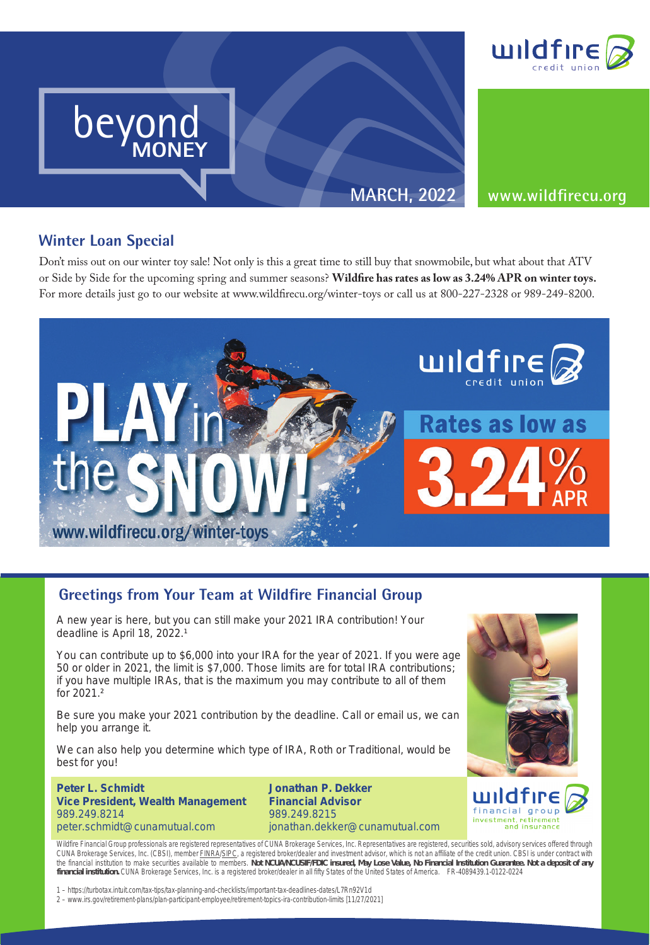

**MARCH, 2022 www.wildfirecu.org**

## **Winter Loan Special**

beyond **MONEY**

**MONEY**

beyond beyond

MONEY

beyond MONEY

**r Loan Special**<br>ss out on our winter toy sale! N Don't miss out on our winter toy sale! Not only is this a great time to still buy that snowmobile, but what about that ATV or Side by Side for the upcoming spring and summer seasons? **Wildfire has rates as low as 3.24% APR on winter toys.** For more details just go to our website at www.wildfirecu.org/winter-toys or call us at 800-227-2328 or 989-249-8200.



## **Greetings from Your Team at Wildfire Financial Group Greetings from Your Team at Wildfire Financial Group**

A new year is here, but you can still make your 2021 IRA contribution! Your deadline is April 18, 2022.<sup>1</sup>

You can contribute up to \$6,000 into your IRA for the year of 2021. If you were age 50 or older in 2021, the limit is \$7,000. Those limits are for total IRA contributions; if you have multiple IRAs, that is the maximum you may contribute to all of them for 2021.²

Be sure you make your 2021 contribution by the deadline. Call or email us, we can help you arrange it.

We can also help you determine which type of IRA, Roth or Traditional, would be best for you!

**Peter L. Schmidt Vice President, Wealth Management** 989.249.8214 peter.schmidt@cunamutual.com

 $\mathcal{A}^{\text{max}}_{\text{max}}$  are  $\mathcal{A}^{\text{max}}_{\text{max}}$  . The cut  $\mathcal{A}^{\text{max}}_{\text{max}}$ 

**Jonathan P. Dekker Financial Advisor** 989.249.8215 jonathan.dekker@cunamutual.com





Wildfire Financial Group professionals are registered representatives of CUNA Brokerage Services, Inc. Representatives are registered, securities sold, advisory services offered through CUNA Brokerage Services, Inc. (CBSI), member FINRA/SIPC, a registered broker/dealer and investment advisor, which is not an affiliate of the credit union. CBSI is under contract with the financial institution to make securities available to members. **Not NCUA/NCUSIF/FDIC insured, May Lose Value, No Financial Institution Guarantee. Not a deposit of any financial institution.** CUNA Brokerage Services, Inc. is a registered broker/dealer in all fifty States of the United States of America. FR-4089439.1-0122-0224

1 – https://turbotax.intuit.com/tax-tips/tax-planning-and-checklists/important-tax-deadlines-dates/L7Rn92V1d

2 – www.irs.gov/retirement-plans/plan-participant-employee/retirement-topics-ira-contribution-limits [11/27/2021]